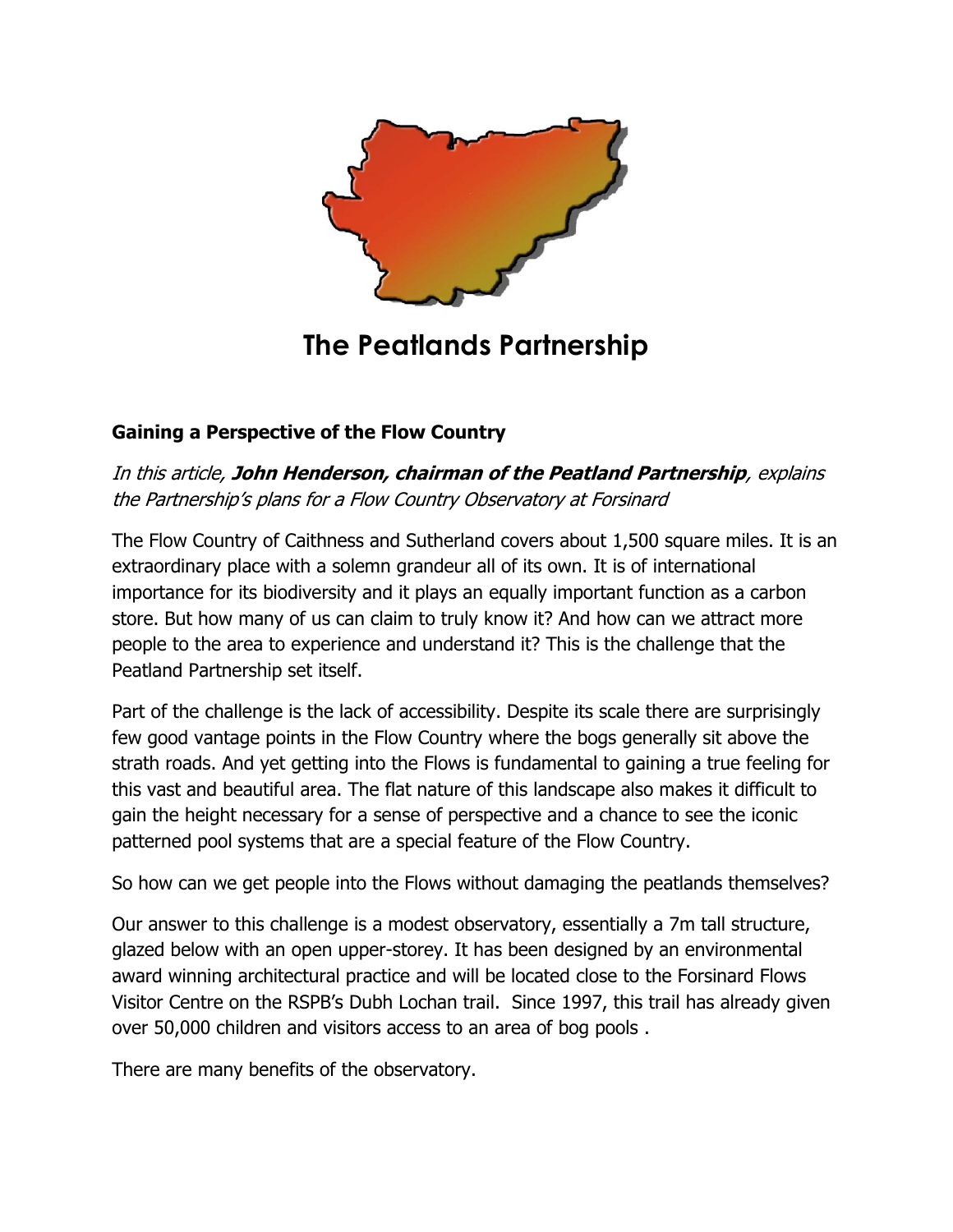

# **The Peatlands Partnership**

## **Gaining a Perspective of the Flow Country**

In this article, **John Henderson, chairman of the Peatland Partnership**, explains the Partnership's plans for a Flow Country Observatory at Forsinard

The Flow Country of Caithness and Sutherland covers about 1,500 square miles. It is an extraordinary place with a solemn grandeur all of its own. It is of international importance for its biodiversity and it plays an equally important function as a carbon store. But how many of us can claim to truly know it? And how can we attract more people to the area to experience and understand it? This is the challenge that the Peatland Partnership set itself.

Part of the challenge is the lack of accessibility. Despite its scale there are surprisingly few good vantage points in the Flow Country where the bogs generally sit above the strath roads. And yet getting into the Flows is fundamental to gaining a true feeling for this vast and beautiful area. The flat nature of this landscape also makes it difficult to gain the height necessary for a sense of perspective and a chance to see the iconic patterned pool systems that are a special feature of the Flow Country.

So how can we get people into the Flows without damaging the peatlands themselves?

Our answer to this challenge is a modest observatory, essentially a 7m tall structure, glazed below with an open upper-storey. It has been designed by an environmental award winning architectural practice and will be located close to the Forsinard Flows Visitor Centre on the RSPB's Dubh Lochan trail. Since 1997, this trail has already given over 50,000 children and visitors access to an area of bog pools .

There are many benefits of the observatory.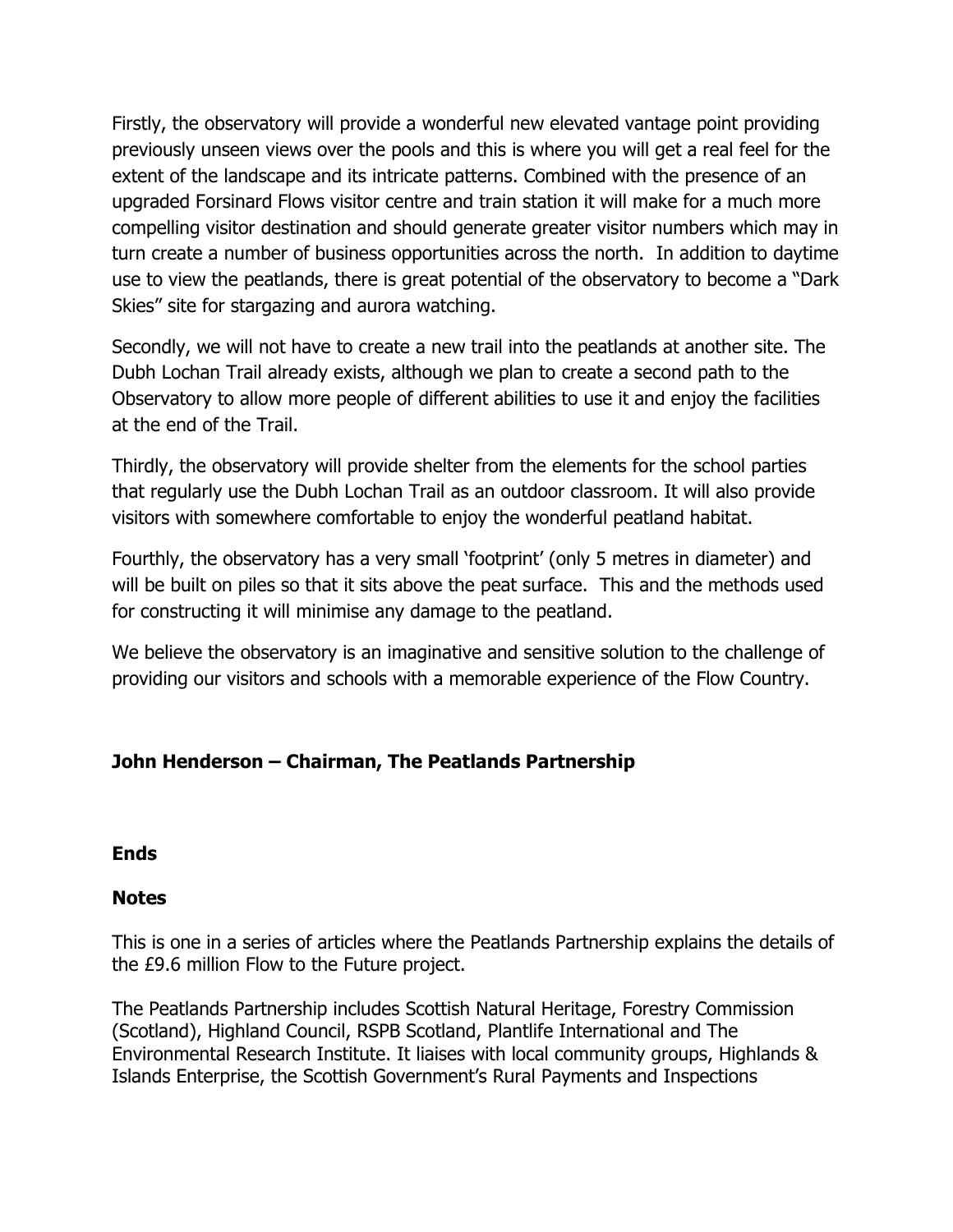Firstly, the observatory will provide a wonderful new elevated vantage point providing previously unseen views over the pools and this is where you will get a real feel for the extent of the landscape and its intricate patterns. Combined with the presence of an upgraded Forsinard Flows visitor centre and train station it will make for a much more compelling visitor destination and should generate greater visitor numbers which may in turn create a number of business opportunities across the north. In addition to daytime use to view the peatlands, there is great potential of the observatory to become a "Dark Skies" site for stargazing and aurora watching.

Secondly, we will not have to create a new trail into the peatlands at another site. The Dubh Lochan Trail already exists, although we plan to create a second path to the Observatory to allow more people of different abilities to use it and enjoy the facilities at the end of the Trail.

Thirdly, the observatory will provide shelter from the elements for the school parties that regularly use the Dubh Lochan Trail as an outdoor classroom. It will also provide visitors with somewhere comfortable to enjoy the wonderful peatland habitat.

Fourthly, the observatory has a very small 'footprint' (only 5 metres in diameter) and will be built on piles so that it sits above the peat surface. This and the methods used for constructing it will minimise any damage to the peatland.

We believe the observatory is an imaginative and sensitive solution to the challenge of providing our visitors and schools with a memorable experience of the Flow Country.

## **John Henderson – Chairman, The Peatlands Partnership**

#### **Ends**

#### **Notes**

This is one in a series of articles where the Peatlands Partnership explains the details of the £9.6 million Flow to the Future project.

The Peatlands Partnership includes Scottish Natural Heritage, Forestry Commission (Scotland), Highland Council, RSPB Scotland, Plantlife International and The Environmental Research Institute. It liaises with local community groups, Highlands & Islands Enterprise, the Scottish Government's Rural Payments and Inspections